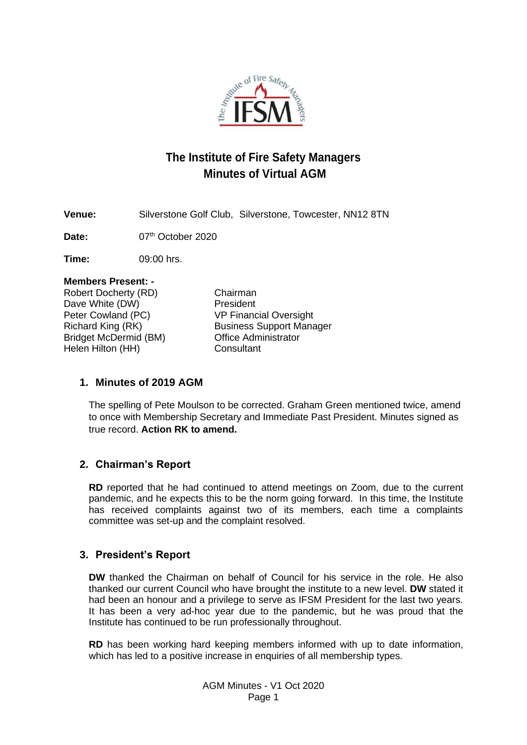

# **The Institute of Fire Safety Managers Minutes of Virtual AGM**

**Venue:** Silverstone Golf Club, Silverstone, Towcester, NN12 8TN

Date: 07<sup>th</sup> October 2020

**Time:** 09:00 hrs.

| <b>Members Present: -</b>    |                                 |
|------------------------------|---------------------------------|
| Robert Docherty (RD)         | Chairman                        |
| Dave White (DW)              | President                       |
| Peter Cowland (PC)           | <b>VP Financial Oversight</b>   |
| Richard King (RK)            | <b>Business Support Manager</b> |
| <b>Bridget McDermid (BM)</b> | <b>Office Administrator</b>     |
| Helen Hilton (HH)            | Consultant                      |
|                              |                                 |

# **1. Minutes of 2019 AGM**

The spelling of Pete Moulson to be corrected. Graham Green mentioned twice, amend to once with Membership Secretary and Immediate Past President. Minutes signed as true record. **Action RK to amend.**

# **2. Chairman's Report**

**RD** reported that he had continued to attend meetings on Zoom, due to the current pandemic, and he expects this to be the norm going forward. In this time, the Institute has received complaints against two of its members, each time a complaints committee was set-up and the complaint resolved.

# **3. President's Report**

**DW** thanked the Chairman on behalf of Council for his service in the role. He also thanked our current Council who have brought the institute to a new level. **DW** stated it had been an honour and a privilege to serve as IFSM President for the last two years. It has been a very ad-hoc year due to the pandemic, but he was proud that the Institute has continued to be run professionally throughout.

**RD** has been working hard keeping members informed with up to date information, which has led to a positive increase in enquiries of all membership types.

> AGM Minutes - V1 Oct 2020 Page 1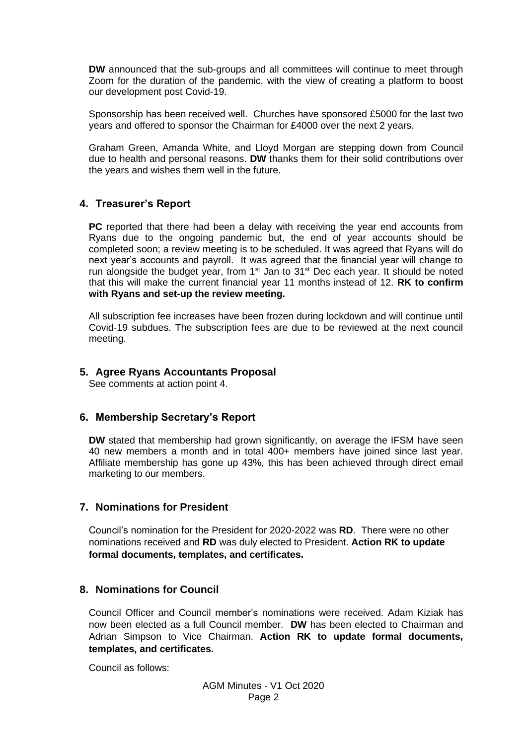**DW** announced that the sub-groups and all committees will continue to meet through Zoom for the duration of the pandemic, with the view of creating a platform to boost our development post Covid-19.

Sponsorship has been received well. Churches have sponsored £5000 for the last two years and offered to sponsor the Chairman for £4000 over the next 2 years.

Graham Green, Amanda White, and Lloyd Morgan are stepping down from Council due to health and personal reasons. **DW** thanks them for their solid contributions over the years and wishes them well in the future.

# **4. Treasurer's Report**

**PC** reported that there had been a delay with receiving the year end accounts from Ryans due to the ongoing pandemic but, the end of year accounts should be completed soon; a review meeting is to be scheduled. It was agreed that Ryans will do next year's accounts and payroll. It was agreed that the financial year will change to run alongside the budget year, from  $1<sup>st</sup>$  Jan to  $31<sup>st</sup>$  Dec each year. It should be noted that this will make the current financial year 11 months instead of 12. **RK to confirm with Ryans and set-up the review meeting.**

All subscription fee increases have been frozen during lockdown and will continue until Covid-19 subdues. The subscription fees are due to be reviewed at the next council meeting.

## **5. Agree Ryans Accountants Proposal**

See comments at action point 4.

#### **6. Membership Secretary's Report**

**DW** stated that membership had grown significantly, on average the IFSM have seen 40 new members a month and in total 400+ members have joined since last year. Affiliate membership has gone up 43%, this has been achieved through direct email marketing to our members.

#### **7. Nominations for President**

Council's nomination for the President for 2020-2022 was **RD**. There were no other nominations received and **RD** was duly elected to President. **Action RK to update formal documents, templates, and certificates.**

#### **8. Nominations for Council**

Council Officer and Council member's nominations were received. Adam Kiziak has now been elected as a full Council member. **DW** has been elected to Chairman and Adrian Simpson to Vice Chairman. **Action RK to update formal documents, templates, and certificates.**

Council as follows: